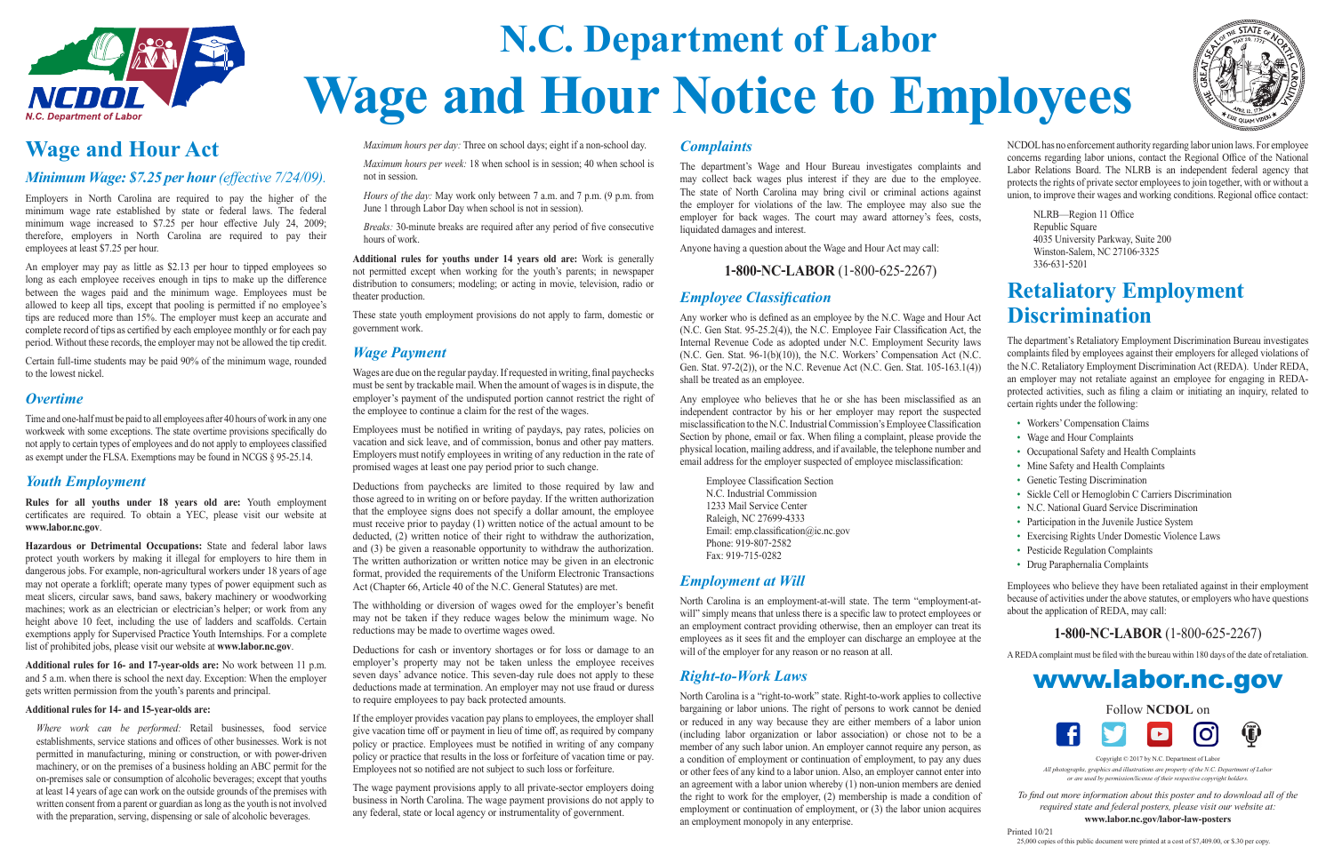# **N.C. Department of Labor Wage and Hour Notice to Employees**



## **Wage and Hour Act**

*Minimum Wage: \$7.25 per hour (effective 7/24/09).*

Employers in North Carolina are required to pay the higher of the minimum wage rate established by state or federal laws. The federal minimum wage increased to \$7.25 per hour effective July 24, 2009; therefore, employers in North Carolina are required to pay their employees at least \$7.25 per hour.

An employer may pay as little as \$2.13 per hour to tipped employees so long as each employee receives enough in tips to make up the difference between the wages paid and the minimum wage. Employees must be allowed to keep all tips, except that pooling is permitted if no employee's tips are reduced more than 15%. The employer must keep an accurate and complete record of tips as certified by each employee monthly or for each pay period. Without these records, the employer may not be allowed the tip credit.

Certain full-time students may be paid 90% of the minimum wage, rounded to the lowest nickel.

#### *Overtime*

Time and one-half must be paid to all employees after 40 hours of work in any one workweek with some exceptions. The state overtime provisions specifically do not apply to certain types of employees and do not apply to employees classified as exempt under the FLSA. Exemptions may be found in NCGS § 95-25.14.

*Where work can be performed:* Retail businesses, food service establishments, service stations and offices of other businesses. Work is not permitted in manufacturing, mining or construction, or with power-driven machinery, or on the premises of a business holding an ABC permit for the on-premises sale or consumption of alcoholic beverages; except that youths at least 14 years of age can work on the outside grounds of the premises with written consent from a parent or guardian as long as the youth is not involved with the preparation, serving, dispensing or sale of alcoholic beverages.

### *Youth Employment*

**Rules for all youths under 18 years old are:** Youth employment certificates are required. To obtain a YEC, please visit our website at **www.labor.nc.gov**.

**Hazardous or Detrimental Occupations:** State and federal labor laws protect youth workers by making it illegal for employers to hire them in dangerous jobs. For example, non-agricultural workers under 18 years of age may not operate a forklift; operate many types of power equipment such as meat slicers, circular saws, band saws, bakery machinery or woodworking machines; work as an electrician or electrician's helper; or work from any height above 10 feet, including the use of ladders and scaffolds. Certain exemptions apply for Supervised Practice Youth Internships. For a complete list of prohibited jobs, please visit our website at **www.labor.nc.gov**.

**Additional rules for 16- and 17-year-olds are:** No work between 11 p.m. and 5 a.m. when there is school the next day. Exception: When the employer gets written permission from the youth's parents and principal.

#### **Additional rules for 14- and 15-year-olds are:**

*Maximum hours per day:* Three on school days; eight if a non-school day.

*Maximum hours per week:* 18 when school is in session; 40 when school is not in session.

*Hours of the day:* May work only between 7 a.m. and 7 p.m. (9 p.m. from June 1 through Labor Day when school is not in session).

*Breaks:* 30-minute breaks are required after any period of five consecutive hours of work.

**Additional rules for youths under 14 years old are:** Work is generally not permitted except when working for the youth's parents; in newspaper distribution to consumers; modeling; or acting in movie, television, radio or theater production.

These state youth employment provisions do not apply to farm, domestic or government work.

## *Wage Payment*

Wages are due on the regular payday. If requested in writing, final paychecks must be sent by trackable mail. When the amount of wages is in dispute, the employer's payment of the undisputed portion cannot restrict the right of the employee to continue a claim for the rest of the wages.

Employees must be notified in writing of paydays, pay rates, policies on vacation and sick leave, and of commission, bonus and other pay matters. Employers must notify employees in writing of any reduction in the rate of promised wages at least one pay period prior to such change.

Deductions from paychecks are limited to those required by law and those agreed to in writing on or before payday. If the written authorization that the employee signs does not specify a dollar amount, the employee must receive prior to payday (1) written notice of the actual amount to be deducted, (2) written notice of their right to withdraw the authorization, and (3) be given a reasonable opportunity to withdraw the authorization. The written authorization or written notice may be given in an electronic format, provided the requirements of the Uniform Electronic Transactions Act (Chapter 66, Article 40 of the N.C. General Statutes) are met.

The withholding or diversion of wages owed for the employer's benefit may not be taken if they reduce wages below the minimum wage. No reductions may be made to overtime wages owed.



Copyright © 2017 by N.C. Department of Labor

Deductions for cash or inventory shortages or for loss or damage to an employer's property may not be taken unless the employee receives seven days' advance notice. This seven-day rule does not apply to these deductions made at termination. An employer may not use fraud or duress to require employees to pay back protected amounts.

If the employer provides vacation pay plans to employees, the employer shall give vacation time off or payment in lieu of time off, as required by company policy or practice. Employees must be notified in writing of any company policy or practice that results in the loss or forfeiture of vacation time or pay. Employees not so notified are not subject to such loss or forfeiture.

The wage payment provisions apply to all private-sector employers doing business in North Carolina. The wage payment provisions do not apply to any federal, state or local agency or instrumentality of government.

## *Complaints*

The department's Wage and Hour Bureau investigates complaints and may collect back wages plus interest if they are due to the employee. The state of North Carolina may bring civil or criminal actions against the employer for violations of the law. The employee may also sue the employer for back wages. The court may award attorney's fees, costs, liquidated damages and interest.

Anyone having a question about the Wage and Hour Act may call:

### **1-800-NC-LABOR** (1-800-625-2267)

## *Employee Classification*

Any worker who is defined as an employee by the N.C. Wage and Hour Act (N.C. Gen Stat. 95-25.2(4)), the N.C. Employee Fair Classification Act, the Internal Revenue Code as adopted under N.C. Employment Security laws (N.C. Gen. Stat. 96-1(b)(10)), the N.C. Workers' Compensation Act (N.C. Gen. Stat. 97-2(2)), or the N.C. Revenue Act (N.C. Gen. Stat. 105-163.1(4)) shall be treated as an employee.

Any employee who believes that he or she has been misclassified as an independent contractor by his or her employer may report the suspected misclassification to the N.C. Industrial Commission's Employee Classification Section by phone, email or fax. When filing a complaint, please provide the physical location, mailing address, and if available, the telephone number and email address for the employer suspected of employee misclassification:

Employee Classification Section N.C. Industrial Commission 1233 Mail Service Center Raleigh, NC 27699-4333 Email: emp.classification@ic.nc.gov Phone: 919-807-2582 Fax: 919-715-0282

## *Employment at Will*

North Carolina is an employment-at-will state. The term "employment-atwill" simply means that unless there is a specific law to protect employees or an employment contract providing otherwise, then an employer can treat its employees as it sees fit and the employer can discharge an employee at the will of the employer for any reason or no reason at all.

## *Right-to-Work Laws*

North Carolina is a "right-to-work" state. Right-to-work applies to collective bargaining or labor unions. The right of persons to work cannot be denied or reduced in any way because they are either members of a labor union (including labor organization or labor association) or chose not to be a member of any such labor union. An employer cannot require any person, as a condition of employment or continuation of employment, to pay any dues or other fees of any kind to a labor union. Also, an employer cannot enter into an agreement with a labor union whereby (1) non-union members are denied the right to work for the employer, (2) membership is made a condition of employment or continuation of employment, or (3) the labor union acquires an employment monopoly in any enterprise.





NCDOL has no enforcement authority regarding labor union laws. For employee concerns regarding labor unions, contact the Regional Office of the National Labor Relations Board. The NLRB is an independent federal agency that protects the rights of private sector employees to join together, with or without a union, to improve their wages and working conditions. Regional office contact:

NLRB—Region 11 Office Republic Square 4035 University Parkway, Suite 200 Winston-Salem, NC 27106-3325 336-631-5201

## **Retaliatory Employment Discrimination**

The department's Retaliatory Employment Discrimination Bureau investigates complaints filed by employees against their employers for alleged violations of the N.C. Retaliatory Employment Discrimination Act (REDA). Under REDA, an employer may not retaliate against an employee for engaging in REDAprotected activities, such as filing a claim or initiating an inquiry, related to certain rights under the following:

- Workers' Compensation Claims
- Wage and Hour Complaints
- Occupational Safety and Health Complaints
- Mine Safety and Health Complaints
- Genetic Testing Discrimination
- Sickle Cell or Hemoglobin C Carriers Discrimination
- N.C. National Guard Service Discrimination
- Participation in the Juvenile Justice System
- Exercising Rights Under Domestic Violence Laws
- Pesticide Regulation Complaints
- Drug Paraphernalia Complaints

Employees who believe they have been retaliated against in their employment because of activities under the above statutes, or employers who have questions about the application of REDA, may call:

## **1-800-NC-LABOR** (1-800-625-2267)

A REDA complaint must be filed with the bureau within 180 days of the date of retaliation.

## www.labor.nc.gov

*All photographs, graphics and illustrations are property of the N.C. Department of Labor or are used by permission/license of their respective copyright holders.*

*To find out more information about this poster and to download all of the required state and federal posters, please visit our website at:*

#### **www.labor.nc.gov/labor-law-posters**

Printed 10/21 25,000 copies of this public document were printed at a cost of \$7,409.00, or \$.30 per copy.